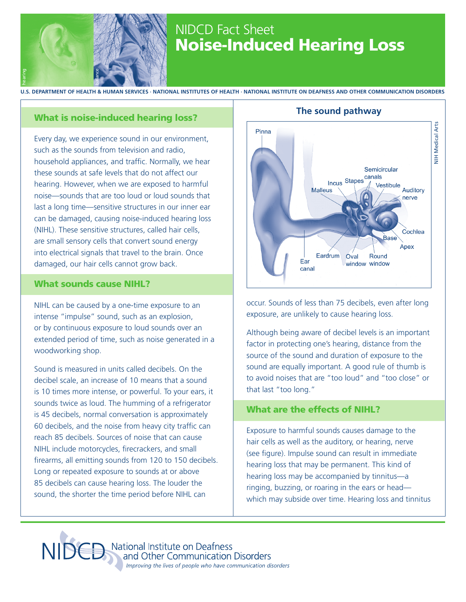

## NIDCD Fact Sheet Noise-Induced Hearing Loss

**u.s. department of health & human services ∙ national institutes of health ∙ National Institute on Deafness and Other Communication Disorders** hearing balance

### What is noise-induced hearing loss?

Every day, we experience sound in our environment, such as the sounds from television and radio, household appliances, and traffic. Normally, we hear these sounds at safe levels that do not affect our hearing. However, when we are exposed to harmful noise—sounds that are too loud or loud sounds that last a long time—sensitive structures in our inner ear can be damaged, causing noise-induced hearing loss (NIHL). These sensitive structures, called hair cells, are small sensory cells that convert sound energy into electrical signals that travel to the brain. Once damaged, our hair cells cannot grow back.

#### What sounds cause NIHL?

NIHL can be caused by a one-time exposure to an intense "impulse" sound, such as an explosion, or by continuous exposure to loud sounds over an extended period of time, such as noise generated in a woodworking shop.

Sound is measured in units called decibels. On the decibel scale, an increase of 10 means that a sound is 10 times more intense, or powerful. To your ears, it sounds twice as loud. The humming of a refrigerator is 45 decibels, normal conversation is approximately 60 decibels, and the noise from heavy city traffic can reach 85 decibels. Sources of noise that can cause NIHL include motorcycles, firecrackers, and small firearms, all emitting sounds from 120 to 150 decibels. Long or repeated exposure to sounds at or above 85 decibels can cause hearing loss. The louder the sound, the shorter the time period before NIHL can



**The sound pathway**

occur. Sounds of less than 75 decibels, even after long exposure, are unlikely to cause hearing loss.

Although being aware of decibel levels is an important factor in protecting one's hearing, distance from the source of the sound and duration of exposure to the sound are equally important. A good rule of thumb is to avoid noises that are "too loud" and "too close" or that last "too long."

## What are the effects of NIHL?

Exposure to harmful sounds causes damage to the hair cells as well as the auditory, or hearing, nerve (see figure). Impulse sound can result in immediate hearing loss that may be permanent. This kind of hearing loss may be accompanied by tinnitus—a ringing, buzzing, or roaring in the ears or head which may subside over time. Hearing loss and tinnitus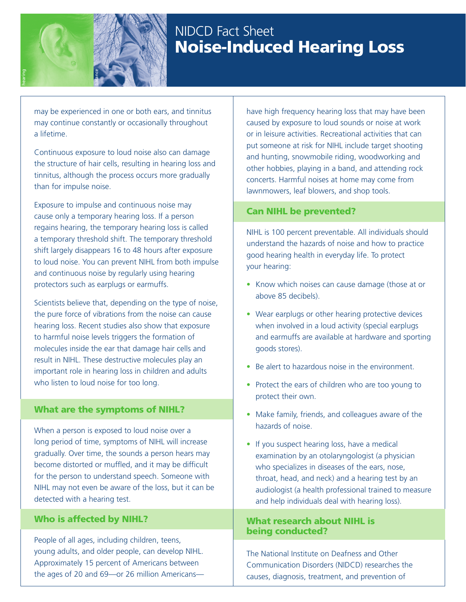

hearing

# NIDCD Fact Sheet Noise-Induced Hearing Loss

may be experienced in one or both ears, and tinnitus may continue constantly or occasionally throughout a lifetime.

Continuous exposure to loud noise also can damage the structure of hair cells, resulting in hearing loss and tinnitus, although the process occurs more gradually than for impulse noise.

Exposure to impulse and continuous noise may cause only a temporary hearing loss. If a person regains hearing, the temporary hearing loss is called a temporary threshold shift. The temporary threshold shift largely disappears 16 to 48 hours after exposure to loud noise. You can prevent NIHL from both impulse and continuous noise by regularly using hearing protectors such as earplugs or earmuffs.

Scientists believe that, depending on the type of noise, the pure force of vibrations from the noise can cause hearing loss. Recent studies also show that exposure to harmful noise levels triggers the formation of molecules inside the ear that damage hair cells and result in NIHL. These destructive molecules play an important role in hearing loss in children and adults who listen to loud noise for too long.

### What are the symptoms of NIHL?

When a person is exposed to loud noise over a long period of time, symptoms of NIHL will increase gradually. Over time, the sounds a person hears may become distorted or muffled, and it may be difficult for the person to understand speech. Someone with NIHL may not even be aware of the loss, but it can be detected with a hearing test.

### Who is affected by NIHL?

People of all ages, including children, teens, young adults, and older people, can develop NIHL. Approximately 15 percent of Americans between the ages of 20 and 69—or 26 million Americanshave high frequency hearing loss that may have been caused by exposure to loud sounds or noise at work or in leisure activities. Recreational activities that can put someone at risk for NIHL include target shooting and hunting, snowmobile riding, woodworking and other hobbies, playing in a band, and attending rock concerts. Harmful noises at home may come from lawnmowers, leaf blowers, and shop tools.

### Can NIHL be prevented?

NIHL is 100 percent preventable. All individuals should understand the hazards of noise and how to practice good hearing health in everyday life. To protect your hearing:

- Know which noises can cause damage (those at or above 85 decibels).
- Wear earplugs or other hearing protective devices when involved in a loud activity (special earplugs and earmuffs are available at hardware and sporting goods stores).
- Be alert to hazardous noise in the environment.
- Protect the ears of children who are too young to protect their own.
- Make family, friends, and colleagues aware of the hazards of noise.
- If you suspect hearing loss, have a medical examination by an otolaryngologist (a physician who specializes in diseases of the ears, nose, throat, head, and neck) and a hearing test by an audiologist (a health professional trained to measure and help individuals deal with hearing loss).

#### What research about NIHL is being conducted?

The National Institute on Deafness and Other Communication Disorders (NIDCD) researches the causes, diagnosis, treatment, and prevention of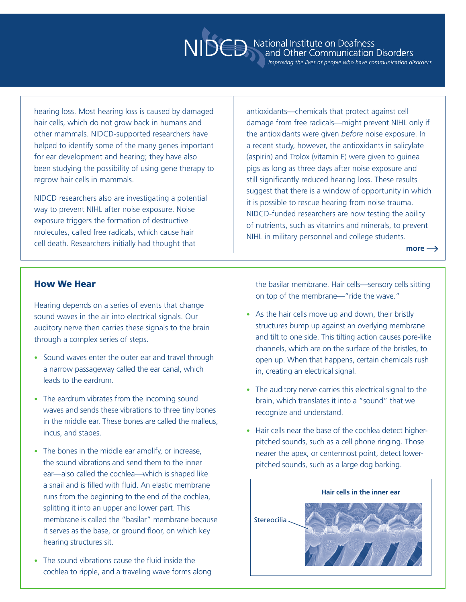hearing loss. Most hearing loss is caused by damaged hair cells, which do not grow back in humans and other mammals. NIDCD-supported researchers have helped to identify some of the many genes important for ear development and hearing; they have also been studying the possibility of using gene therapy to regrow hair cells in mammals.

NIDCD researchers also are investigating a potential way to prevent NIHL after noise exposure. Noise exposure triggers the formation of destructive molecules, called free radicals, which cause hair cell death. Researchers initially had thought that

antioxidants—chemicals that protect against cell damage from free radicals—might prevent NIHL only if the antioxidants were given *before* noise exposure. In a recent study, however, the antioxidants in salicylate (aspirin) and Trolox (vitamin E) were given to guinea pigs as long as three days after noise exposure and still significantly reduced hearing loss. These results suggest that there is a window of opportunity in which it is possible to rescue hearing from noise trauma. NIDCD-funded researchers are now testing the ability of nutrients, such as vitamins and minerals, to prevent NIHL in military personnel and college students.

 $more \rightarrow$ 

#### How We Hear

Hearing depends on a series of events that change sound waves in the air into electrical signals. Our auditory nerve then carries these signals to the brain through a complex series of steps.

- Sound waves enter the outer ear and travel through a narrow passageway called the ear canal, which leads to the eardrum.
- The eardrum vibrates from the incoming sound waves and sends these vibrations to three tiny bones in the middle ear. These bones are called the malleus, incus, and stapes.
- The bones in the middle ear amplify, or increase, the sound vibrations and send them to the inner ear—also called the cochlea—which is shaped like a snail and is filled with fluid. An elastic membrane runs from the beginning to the end of the cochlea, splitting it into an upper and lower part. This membrane is called the "basilar" membrane because it serves as the base, or ground floor, on which key hearing structures sit.
- The sound vibrations cause the fluid inside the cochlea to ripple, and a traveling wave forms along

the basilar membrane. Hair cells—sensory cells sitting on top of the membrane—"ride the wave."

- As the hair cells move up and down, their bristly structures bump up against an overlying membrane and tilt to one side. This tilting action causes pore-like channels, which are on the surface of the bristles, to open up. When that happens, certain chemicals rush in, creating an electrical signal.
- The auditory nerve carries this electrical signal to the brain, which translates it into a "sound" that we recognize and understand.
- Hair cells near the base of the cochlea detect higherpitched sounds, such as a cell phone ringing. Those nearer the apex, or centermost point, detect lowerpitched sounds, such as a large dog barking.